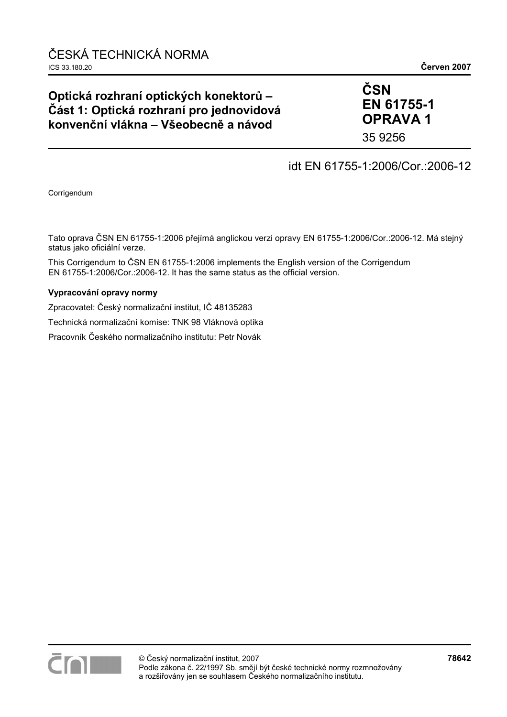# **Optická rozhraní optických konektorů – Část 1: Optická rozhraní pro jednovidová konvenční vlákna – Všeobecně a návod**

# **ČSN EN 61755-1 OPRAVA 1**

35 9256

## idt EN 61755-1:2006/Cor.:2006-12

Corrigendum

Tato oprava ČSN EN 61755-1:2006 přejímá anglickou verzi opravy EN 61755-1:2006/Cor.:2006-12. Má stejný status jako oficiální verze.

This Corrigendum to ČSN EN 61755-1:2006 implements the English version of the Corrigendum EN 61755-1:2006/Cor.:2006-12. It has the same status as the official version.

#### **Vypracování opravy normy**

Zpracovatel: Český normalizační institut, IČ 48135283

Technická normalizační komise: TNK 98 Vláknová optika

Pracovník Českého normalizačního institutu: Petr Novák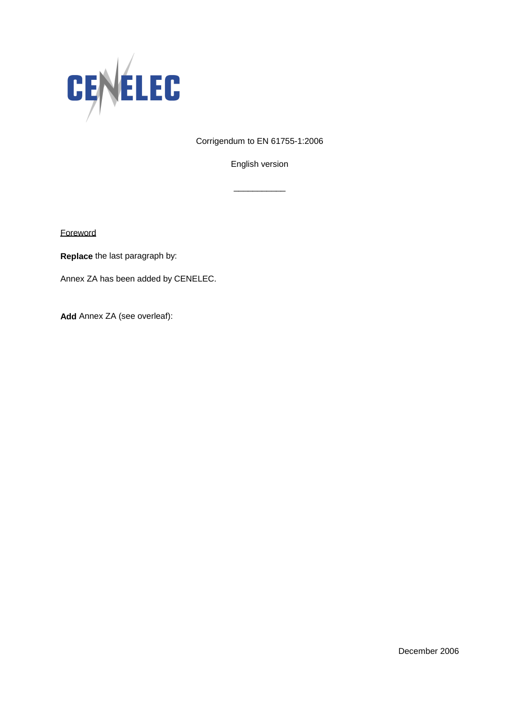

Corrigendum to EN 61755-1:2006

English version

\_\_\_\_\_\_\_\_\_\_\_

**Foreword** 

**Replace** the last paragraph by:

Annex ZA has been added by CENELEC.

**Add** Annex ZA (see overleaf):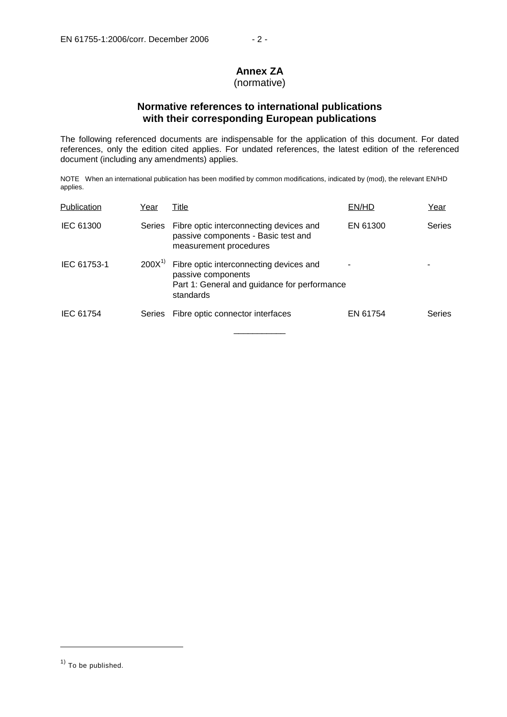# **Annex ZA**

#### (normative)

### **Normative references to international publications with their corresponding European publications**

The following referenced documents are indispensable for the application of this document. For dated references, only the edition cited applies. For undated references, the latest edition of the referenced document (including any amendments) applies.

NOTE When an international publication has been modified by common modifications, indicated by (mod), the relevant EN/HD applies.

| Publication | Year          | Title                                                                                                                      | EN/HD    | Year          |
|-------------|---------------|----------------------------------------------------------------------------------------------------------------------------|----------|---------------|
| IEC 61300   | <b>Series</b> | Fibre optic interconnecting devices and<br>passive components - Basic test and<br>measurement procedures                   | EN 61300 | <b>Series</b> |
| IEC 61753-1 | $200X^{1}$    | Fibre optic interconnecting devices and<br>passive components<br>Part 1: General and guidance for performance<br>standards |          |               |
| IEC 61754   | <b>Series</b> | Fibre optic connector interfaces                                                                                           | EN 61754 | <b>Series</b> |
|             |               |                                                                                                                            |          |               |

j

 $<sup>1</sup>$  To be published.</sup>